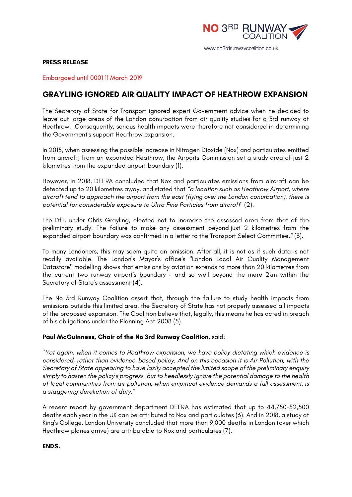

www.no3rdrunwaycoalition.co.uk

## **PRESS RELEASE**

Embargoed until 0001 11 March 2019

## **GRAYLING IGNORED AIR QUALITY IMPACT OF HEATHROW EXPANSION**

The Secretary of State for Transport ignored expert Government advice when he decided to leave out large areas of the London conurbation from air quality studies for a 3rd runway at Heathrow. Consequently, serious health impacts were therefore not considered in determining the Government's support Heathrow expansion.

In 2015, when assessing the possible increase in Nitrogen Dioxide (Nox) and particulates emitted from aircraft, from an expanded Heathrow, the Airports Commission set a study area of just 2 kilometres from the expanded airport boundary (1).

However, in 2018, DEFRA concluded that Nox and particulates emissions from aircraft can be detected up to 20 kilometres away, and stated that *"a location such as Heathrow Airport, where aircraft tend to approach the airport from the east (flying over the London conurbation), there is potential for considerable exposure to Ultra Fine Particles from aircraft*" (2).

The DfT, under Chris Grayling, elected not to increase the assessed area from that of the preliminary study. The failure to make any assessment beyond just 2 kilometres from the expanded airport boundary was confirmed in a letter to the Transport Select Committee.*"* (3).

To many Londoners, this may seem quite an omission. After all, it is not as if such data is not readily available. The London's Mayor's office's "London Local Air Quality Management Datastore" modelling shows that emissions by aviation extends to more than 20 kilometres from the current two runway airport's boundary - and so well beyond the mere 2km within the Secretary of State's assessment (4).

The No 3rd Runway Coalition assert that, through the failure to study health impacts from emissions outside this limited area, the Secretary of State has not properly assessed all impacts of the proposed expansion. The Coalition believe that, legally, this means he has acted in breach of his obligations under the Planning Act 2008 (5).

## **Paul McGuinness, Chair of the No 3rd Runway Coalition**, said:

"*Yet again, when it comes to Heathrow expansion, we have policy dictating which evidence is considered, rather than evidence-based policy. And on this occasion it is Air Pollution, with the Secretary of State appearing to have lazily accepted the limited scope of the preliminary enquiry simply to hasten the policy's progress*. *But to heedlessly ignore the potential damage to the health of local communities from air pollution, when empirical evidence demands a full assessment, is a staggering dereliction of duty."*

A recent report by government department DEFRA has estimated that up to 44,750–52,500 deaths each year in the UK can be attributed to Nox and particulates (6). And in 2018, a study at King's College, London University concluded that more than 9,000 deaths in London (over which Heathrow planes arrive) are attributable to Nox and particulates (7).

**ENDS.**